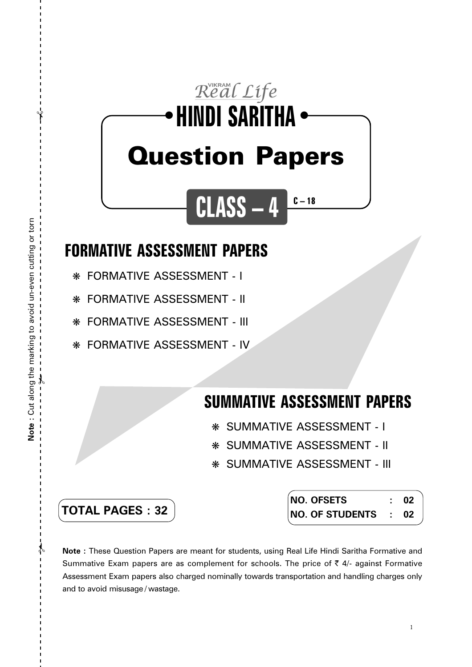## Real Life **HINDI SARITHA** ● ● Question Papers

**CLASS – 4**

## **FORMATIVE ASSESSMENT PAPERS**

❋ FORMATIVE ASSESSMENT - I

❋ FORMATIVE ASSESSMENT - II

❋ FORMATIVE ASSESSMENT - III

❋ FORMATIVE ASSESSMENT - IV

## **SUMMATIVE ASSESSMENT PAPERS**

**C – 18**

- ❋ SUMMATIVE ASSESSMENT I
- ❋ SUMMATIVE ASSESSMENT II
- ❋ SUMMATIVE ASSESSMENT III

| <b>TOTAL PAGES:32</b> |
|-----------------------|
|-----------------------|

| NO. OFSETS           | -02 |
|----------------------|-----|
| NO. OF STUDENTS : 02 |     |

**Note :** These Question Papers are meant for students, using Real Life Hindi Saritha Formative and Summative Exam papers are as complement for schools. The price of  $\bar{\tau}$  4/- against Formative Assessment Exam papers also charged nominally towards transportation and handling charges only and to avoid misusage / wastage.

 $\lambda$ 

✃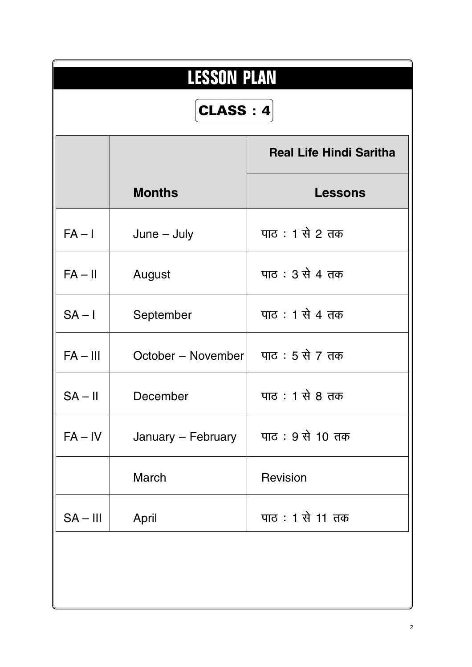| <b>LESSON PLAN</b> |                    |                                |  |  |  |
|--------------------|--------------------|--------------------------------|--|--|--|
| CLASS: 4           |                    |                                |  |  |  |
|                    |                    | <b>Real Life Hindi Saritha</b> |  |  |  |
|                    | <b>Months</b>      | <b>Lessons</b>                 |  |  |  |
| $FA - I$           | $June - July$      | पाठ: 1 से 2 तक                 |  |  |  |
| $FA - II$          | August             | पाठ : 3 से 4 तक                |  |  |  |
| $SA - I$           | September          | पाठ: 1 से 4 तक                 |  |  |  |
| $FA - III$         | October - November | पाठ : 5 से 7 तक                |  |  |  |
| $SA - II$          | December           | पाठ : 1 से 8 तक                |  |  |  |
| $FA - IV$          | January - February | पाठ: 9 से 10 तक                |  |  |  |
|                    | March              | Revision                       |  |  |  |
| $SA - III$         | April              | पाठ: 1 से 11 तक                |  |  |  |
|                    |                    |                                |  |  |  |
|                    |                    |                                |  |  |  |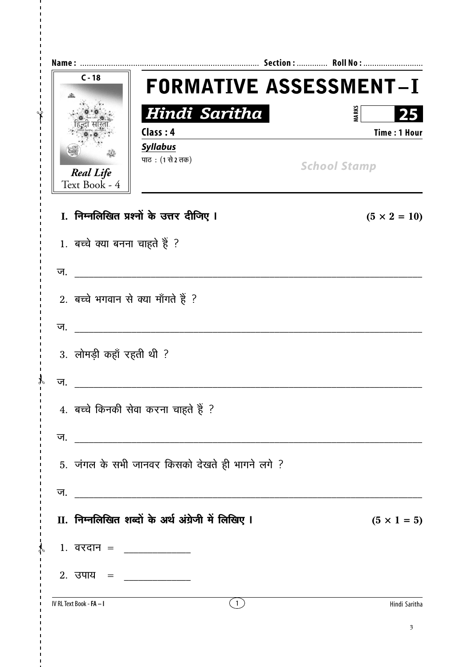| $C - 18$                          |                                                                                                                                                                                                                                                                                                                                                                                                                         | <b>FORMATIVE ASSESSMENT-I</b> |
|-----------------------------------|-------------------------------------------------------------------------------------------------------------------------------------------------------------------------------------------------------------------------------------------------------------------------------------------------------------------------------------------------------------------------------------------------------------------------|-------------------------------|
|                                   | Hindi Saritha<br>Class: 4                                                                                                                                                                                                                                                                                                                                                                                               | <b>MARKS</b><br>Time: 1 Hour  |
| <b>Real Life</b><br>Text Book - 4 | <b>Syllabus</b><br>पाठ: (1 से 2 तक)                                                                                                                                                                                                                                                                                                                                                                                     | <b>School Stamp</b>           |
|                                   | I. निम्नलिखित प्रश्नों के उत्तर दीजिए I                                                                                                                                                                                                                                                                                                                                                                                 | $(5 \times 2 = 10)$           |
| 1. बच्चे क्या बनना चाहते हैं ?    |                                                                                                                                                                                                                                                                                                                                                                                                                         |                               |
| ज.                                |                                                                                                                                                                                                                                                                                                                                                                                                                         |                               |
|                                   | 2. बच्चे भगवान से क्या माँगते हैं ?                                                                                                                                                                                                                                                                                                                                                                                     |                               |
| ज.                                |                                                                                                                                                                                                                                                                                                                                                                                                                         |                               |
| 3. लोमड़ी कहाँ रहती थी ?          |                                                                                                                                                                                                                                                                                                                                                                                                                         |                               |
| ज.                                |                                                                                                                                                                                                                                                                                                                                                                                                                         |                               |
|                                   | 4. बच्चे किनकी सेवा करना चाहते हैं ?                                                                                                                                                                                                                                                                                                                                                                                    |                               |
| ज.                                |                                                                                                                                                                                                                                                                                                                                                                                                                         |                               |
|                                   | 5. जंगल के सभी जानवर किसको देखते ही भागने लगे ?                                                                                                                                                                                                                                                                                                                                                                         |                               |
|                                   |                                                                                                                                                                                                                                                                                                                                                                                                                         |                               |
|                                   | II. निम्नलिखित शब्दों के अर्थ अंग्रेजी में लिखिए I                                                                                                                                                                                                                                                                                                                                                                      | $(5 \times 1 = 5)$            |
|                                   | 1. वरदान = ______________                                                                                                                                                                                                                                                                                                                                                                                               |                               |
|                                   | 2. उपाय = $\frac{1}{\sqrt{1-\frac{1}{2}}}\frac{1}{\sqrt{1-\frac{1}{2}}}\frac{1}{\sqrt{1-\frac{1}{2}}}\frac{1}{\sqrt{1-\frac{1}{2}}}\frac{1}{\sqrt{1-\frac{1}{2}}}\frac{1}{\sqrt{1-\frac{1}{2}}}\frac{1}{\sqrt{1-\frac{1}{2}}}\frac{1}{\sqrt{1-\frac{1}{2}}}\frac{1}{\sqrt{1-\frac{1}{2}}}\frac{1}{\sqrt{1-\frac{1}{2}}}\frac{1}{\sqrt{1-\frac{1}{2}}}\frac{1}{\sqrt{1-\frac{1}{2}}}\frac{1}{\sqrt{1-\frac{1}{2}}}\frac$ |                               |
| IV RL Text Book - <b>FA – I</b>   | (1)                                                                                                                                                                                                                                                                                                                                                                                                                     | Hindi Saritha                 |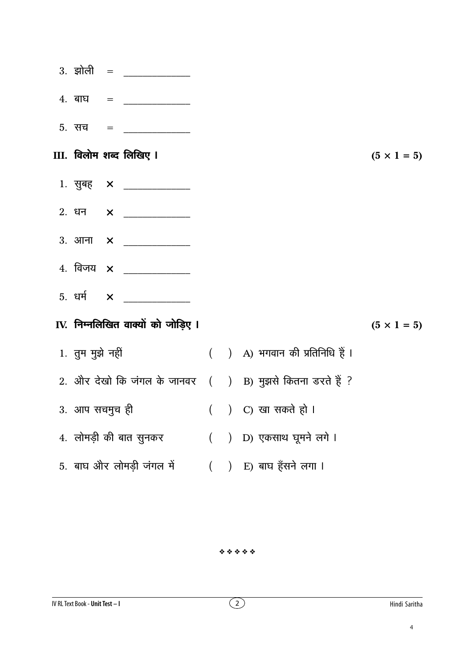|                                                           |  | $4.$ बाघ = _____________           |                    |                                 |                    |
|-----------------------------------------------------------|--|------------------------------------|--------------------|---------------------------------|--------------------|
|                                                           |  |                                    |                    |                                 |                    |
|                                                           |  | III. विलोम शब्द लिखिए ।            |                    |                                 | $(5 \times 1 = 5)$ |
|                                                           |  |                                    |                    |                                 |                    |
|                                                           |  |                                    |                    |                                 |                    |
|                                                           |  |                                    |                    |                                 |                    |
|                                                           |  |                                    |                    |                                 |                    |
|                                                           |  | 5. धर्म $\times$ __________        |                    |                                 |                    |
|                                                           |  | IV. निम्नलिखित वाक्यों को जोड़िए । |                    |                                 | $(5 \times 1 = 5)$ |
| 1. तुम मुझे नहीं                                          |  |                                    |                    | ( ) A) भगवान की प्रतिनिधि हैं । |                    |
| 2. और देखो कि जंगल के जानवर ( ) B) मुझसे कितना डरते हैं ? |  |                                    |                    |                                 |                    |
| 3. आप सचमुच ही                                            |  |                                    | () C) खा सकते हो । |                                 |                    |
| 4. लोमड़ी की बात सुनकर ( ) D) एकसाथ घूमने लगे ।           |  |                                    |                    |                                 |                    |
| 5. बाघ और लोमड़ी जंगल में ( ) E) बाघ हँसने लगा ।          |  |                                    |                    |                                 |                    |

 $4.4.4.4.4$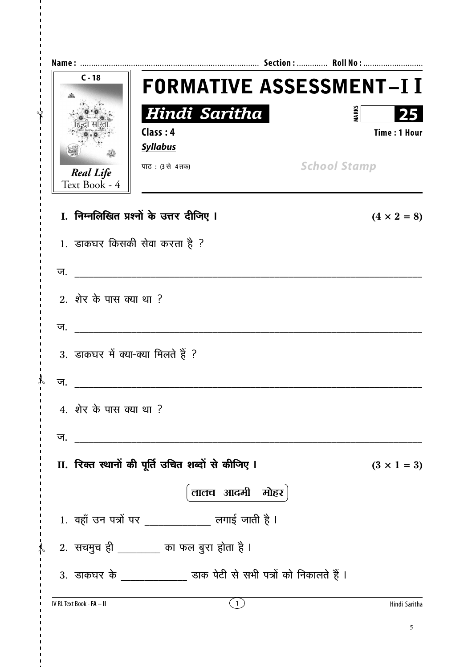| $C - 18$                          | <b>FORMATIVE ASSESSMENT-I I</b>                                   |                    |
|-----------------------------------|-------------------------------------------------------------------|--------------------|
|                                   | Hindi Saritha                                                     | <b>MARK</b>        |
|                                   | Class: 4                                                          | Time: 1 Hour       |
|                                   | <b>Syllabus</b>                                                   |                    |
| <b>Real Life</b><br>Text Book - 4 | <b>School Stamp</b><br>पाठ: (3 से 4 तक)                           |                    |
|                                   | I. निम्नलिखित प्रश्नों के उत्तर दीजिए I                           | $(4 \times 2 = 8)$ |
|                                   | 1. डाकघर किसकी सेवा करता है ?                                     |                    |
| ज.                                |                                                                   |                    |
| 2. शेर के पास क्या था ?           |                                                                   |                    |
| ज.                                |                                                                   |                    |
|                                   | 3. डाकघर में क्या-क्या मिलते हैं ?                                |                    |
| ज.                                |                                                                   |                    |
| 4. शेर के पास क्या था ?           |                                                                   |                    |
| ज.                                |                                                                   |                    |
|                                   | II. रिक्त स्थानों की पूर्ति उचित शब्दों से कीजिए I                | $(3 \times 1 = 3)$ |
|                                   | लालच आदमी मोहर                                                    |                    |
|                                   | 1. वहाँ उन पत्रों पर _____________ लगाई जाती है ।                 |                    |
|                                   | ,     2.   सचमुच ही _________ का फल बुरा होता है ।                |                    |
|                                   | 3. डाकघर के _____________ डाक पेटी से सभी पत्रों को निकालते हैं । |                    |
| IV RL Text Book - FA - II         | $\left(1\right)$                                                  | Hindi Saritha      |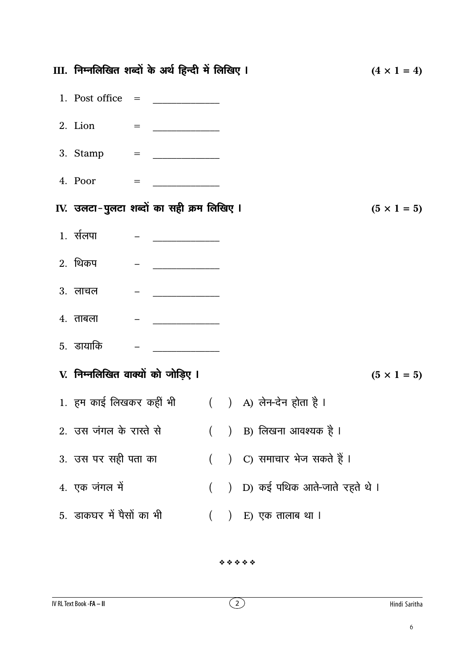| III. निम्नलिखित शब्दों के अर्थ हिन्दी में लिखिए I |                                                                                                                                                                                                                                                                                                                                                                                                                                                                                                  |          |                                                  | $(4 \times 1 = 4)$ |
|---------------------------------------------------|--------------------------------------------------------------------------------------------------------------------------------------------------------------------------------------------------------------------------------------------------------------------------------------------------------------------------------------------------------------------------------------------------------------------------------------------------------------------------------------------------|----------|--------------------------------------------------|--------------------|
|                                                   |                                                                                                                                                                                                                                                                                                                                                                                                                                                                                                  |          |                                                  |                    |
|                                                   |                                                                                                                                                                                                                                                                                                                                                                                                                                                                                                  |          |                                                  |                    |
|                                                   |                                                                                                                                                                                                                                                                                                                                                                                                                                                                                                  |          |                                                  |                    |
|                                                   |                                                                                                                                                                                                                                                                                                                                                                                                                                                                                                  |          |                                                  |                    |
| IV. उलटा-पुलटा शब्दों का सही क्रम लिखिए ।         |                                                                                                                                                                                                                                                                                                                                                                                                                                                                                                  |          |                                                  | $(5 \times 1 = 5)$ |
| 1. र्सलपा                                         | $\begin{tabular}{ll} \multicolumn{2}{c} {\textbf{1}} & \multicolumn{2}{c} {\textbf{1}} & \multicolumn{2}{c} {\textbf{1}} \\ \multicolumn{2}{c} {\textbf{2}} & \multicolumn{2}{c} {\textbf{3}} & \multicolumn{2}{c} {\textbf{4}} \\ \multicolumn{2}{c} {\textbf{5}} & \multicolumn{2}{c} {\textbf{6}} & \multicolumn{2}{c} {\textbf{7}} \\ \multicolumn{2}{c} {\textbf{6}} & \multicolumn{2}{c} {\textbf{7}} & \multicolumn{2}{c} {\textbf{8}} \\ \multicolumn{2}{c} {\textbf{9}} & \multicolumn$ |          |                                                  |                    |
| <b>2.</b> थिकप                                    | <u> 1990 - Januar Amerikaanse konstantinoplering († 1901)</u>                                                                                                                                                                                                                                                                                                                                                                                                                                    |          |                                                  |                    |
| 3. लाचल                                           | $\mathcal{L} = \mathcal{L} = \mathcal{L} = \mathcal{L} = \mathcal{L} = \mathcal{L} = \mathcal{L} = \mathcal{L} = \mathcal{L} = \mathcal{L} = \mathcal{L} = \mathcal{L} = \mathcal{L} = \mathcal{L} = \mathcal{L} = \mathcal{L} = \mathcal{L} = \mathcal{L} = \mathcal{L} = \mathcal{L} = \mathcal{L} = \mathcal{L} = \mathcal{L} = \mathcal{L} = \mathcal{L} = \mathcal{L} = \mathcal{L} = \mathcal{L} = \mathcal{L} = \mathcal{L} = \mathcal{L} = \mathcal$                                     |          |                                                  |                    |
| $4.$ ताबला                                        |                                                                                                                                                                                                                                                                                                                                                                                                                                                                                                  |          |                                                  |                    |
| 5. डायाकि                                         |                                                                                                                                                                                                                                                                                                                                                                                                                                                                                                  |          |                                                  |                    |
| V. निम्नलिखित वाक्यों को जोड़िए ।                 |                                                                                                                                                                                                                                                                                                                                                                                                                                                                                                  |          |                                                  | $(5 \times 1 = 5)$ |
|                                                   |                                                                                                                                                                                                                                                                                                                                                                                                                                                                                                  |          | 1. हम काई लिखकर कहीं भी ( ) A) लेन-देन होता है । |                    |
| 2. उस जंगल के रास्ते से                           |                                                                                                                                                                                                                                                                                                                                                                                                                                                                                                  |          | () B) लिखना आवश्यक है l                          |                    |
| 3. उस पर सही पता का                               |                                                                                                                                                                                                                                                                                                                                                                                                                                                                                                  |          | ( ) C) समाचार भेज सकते हैं ।                     |                    |
| 4. एक जंगल में                                    |                                                                                                                                                                                                                                                                                                                                                                                                                                                                                                  | $\left($ | ) D) कई पथिक आते-जाते रहते थे ।                  |                    |
| 5. डाकघर में पैसों का भी                          |                                                                                                                                                                                                                                                                                                                                                                                                                                                                                                  | $\left($ | ) E) एक तालाब था l                               |                    |
|                                                   |                                                                                                                                                                                                                                                                                                                                                                                                                                                                                                  |          |                                                  |                    |

 $4.4.4.4.4$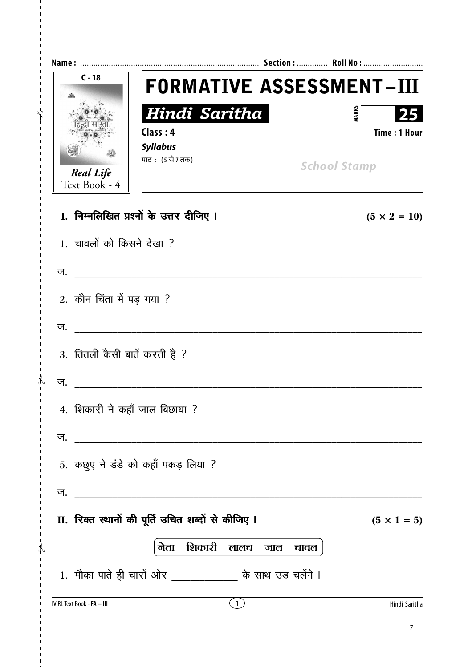| $C - 18$                          |                                                           | <b>FORMATIVE ASSESSMENT-III</b> |
|-----------------------------------|-----------------------------------------------------------|---------------------------------|
|                                   | Hindi Saritha                                             | <b>MARKS</b><br>25              |
|                                   | Class: 4                                                  | <b>Time: 1 Hour</b>             |
|                                   | <b>Syllabus</b>                                           |                                 |
| <b>Real Life</b><br>Text Book - 4 | पाठ: (5 से 7 तक)                                          | <b>School Stamp</b>             |
|                                   | I. निम्नलिखित प्रश्नों के उत्तर दीजिए I                   | $(5 \times 2 = 10)$             |
| 1. चावलों को किसने देखा ?         |                                                           |                                 |
| ज.                                |                                                           |                                 |
| 2. कौन चिंता में पड़ गया ?        |                                                           |                                 |
| ज.                                |                                                           |                                 |
| 3. तितली कैसी बातें करती है ?     |                                                           |                                 |
| ज.                                |                                                           |                                 |
| 4. शिकारी ने कहाँ जाल बिछाया ?    |                                                           |                                 |
| ज.                                |                                                           |                                 |
|                                   | 5. कछुए ने डंडे को कहाँ पकड़ लिया ?                       |                                 |
| ज.                                |                                                           |                                 |
|                                   | II. रिक्त स्थानों की पूर्ति उचित शब्दों से कीजिए I        | $(5 \times 1 = 5)$              |
|                                   | शिकारी<br>नेता<br>लालच<br>जाल                             | चावल                            |
|                                   | 1. मौका पाते ही चारों ओर _____________ के साथ उड चलेंगे । |                                 |
| IV RL Text Book - FA - III        | (1)                                                       | Hindi Saritha                   |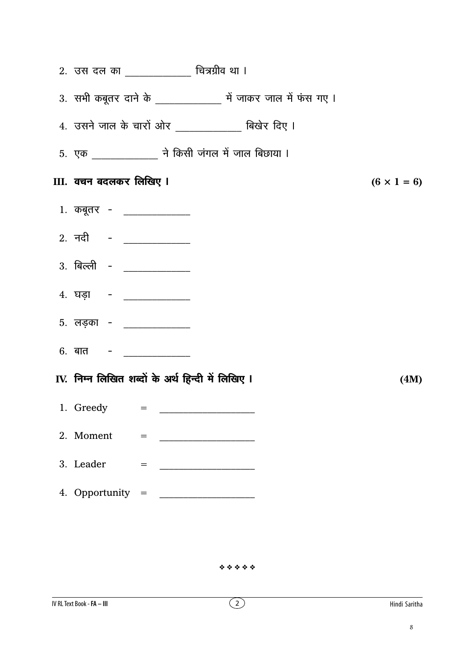| 2. उस दल का _____________ चित्रग्रीव था ।                       |                    |
|-----------------------------------------------------------------|--------------------|
| 3. सभी कबूतर दाने के ________________ में जाकर जाल में फंस गए । |                    |
| $4.$ उसने जाल के चारों ओर ____________ बिखेर दिए ।              |                    |
| 5. एक ______________ ने किसी जंगल में जाल बिछाया ।              |                    |
| III. वचन बदलकर लिखिए I                                          | $(6 \times 1 = 6)$ |
| 1. कबूतर - _____________                                        |                    |
| 2. नदी - __________                                             |                    |
| 3. बिल्ली - ___________                                         |                    |
| 4. घड़ा - ____________                                          |                    |
| 5. लड़का - _____________                                        |                    |
| 6. बात – ____________                                           |                    |
| IV. निम्न लिखित शब्दों के अर्थ हिन्दी में लिखिए I               | (4M)               |
| 1. Greedy = $\qquad$                                            |                    |
| 2. Moment<br>$=$                                                |                    |
| 3. Leader<br>$=$<br><u> 1989 - Johann Barbara, martin a</u>     |                    |
| 4. Opportunity =                                                |                    |

 $4.4.4.4.4$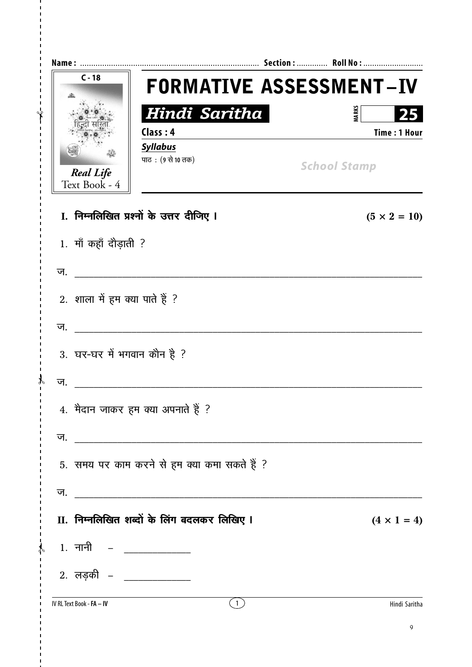| $C - 18$                          | <b>FORMATIVE ASSESSMENT-IV</b>               |                                           |
|-----------------------------------|----------------------------------------------|-------------------------------------------|
|                                   | Hindi Saritha<br>Class: 4                    | <b>MARKS</b><br>25<br><b>Time: 1 Hour</b> |
| <b>Real Life</b><br>Text Book - 4 | <b>Syllabus</b><br>पाठ: (९ से 10 तक)         | <b>School Stamp</b>                       |
|                                   | I. निम्नलिखित प्रश्नों के उत्तर दीजिए I      | $(5 \times 2 = 10)$                       |
| 1. माँ कहाँ दौड़ाती ?             |                                              |                                           |
| ज.                                |                                              |                                           |
| 2. शाला में हम क्या पाते हैं ?    |                                              |                                           |
| ज.                                |                                              |                                           |
| 3. घर-घर में भगवान कौन है ?       |                                              |                                           |
| ज.                                |                                              |                                           |
|                                   | 4. मैदान जाकर हम क्या अपनाते हैं ?           |                                           |
|                                   |                                              |                                           |
|                                   | 5. समय पर काम करने से हम क्या कमा सकते हैं ? |                                           |
|                                   |                                              |                                           |
|                                   | II. निम्नलिखित शब्दों के लिंग बदलकर लिखिए I  | $(4 \times 1 = 4)$                        |
| , 1. नानी  – <u>____________</u>  |                                              |                                           |
|                                   | 2. लड़की – _____________                     |                                           |
| IV RL Text Book - FA - IV         | (1)                                          | Hindi Saritha                             |